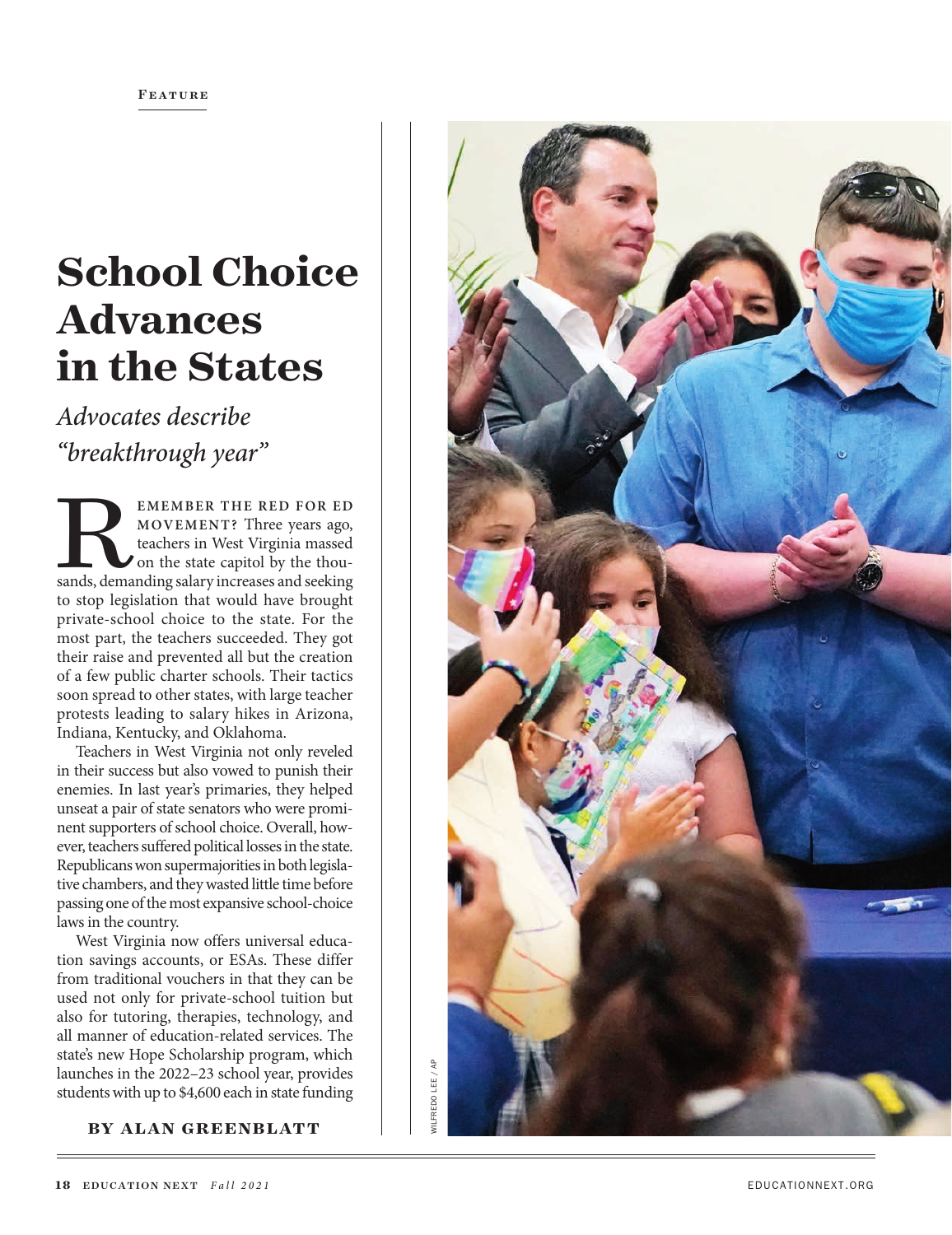# **School Choice Advances in the States**

*Advocates describe "breakthrough year"*

**EMEMBER THE RED FOR ED MOVEMENT?** Three years ago, teachers in West Virginia massed on the state capitol by the thousands, demanding salary increases and seeking **MOVEMENT?** Three years ago, teachers in West Virginia massed on the state capitol by the thou to stop legislation that would have brought private-school choice to the state. For the most part, the teachers succeeded. They got their raise and prevented all but the creation of a few public charter schools. Their tactics soon spread to other states, with large teacher protests leading to salary hikes in Arizona, Indiana, Kentucky, and Oklahoma.

Teachers in West Virginia not only reveled in their success but also vowed to punish their enemies. In last year's primaries, they helped unseat a pair of state senators who were promi nent supporters of school choice. Overall, how ever, teachers suffered political losses in the state. Republicans won supermajorities in both legisla tive chambers, and they wasted little time before passing one of the most expansive school-choice laws in the country.

West Virginia now offers universal educa tion savings accounts, or ESAs. These differ from traditional vouchers in that they can be used not only for private-school tuition but also for tutoring, therapies, technology, and all manner of education-related services. The state's new Hope Scholarship program, which launches in the 2022–23 school year, provides students with up to \$4,600 each in state funding

**BY ALAN GREENBLATT**

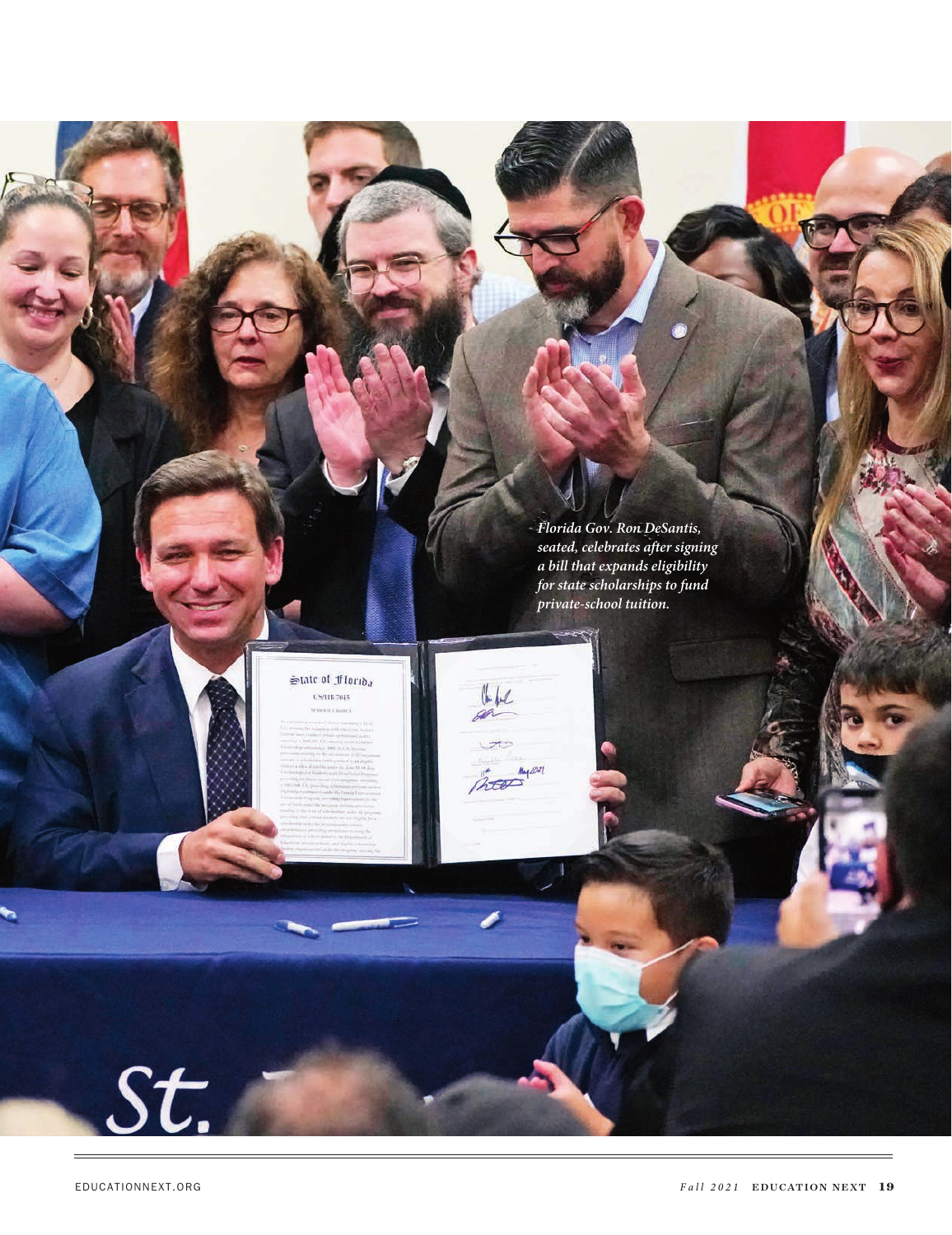*Florida Gov. Ron DeSantis, seated, celebrates after signing a bill that expands eligibility for state scholarships to fund private-school tuition.*

 $U$ 

noon

#### State of Florida **CS/HB 7015** mootichuus

St.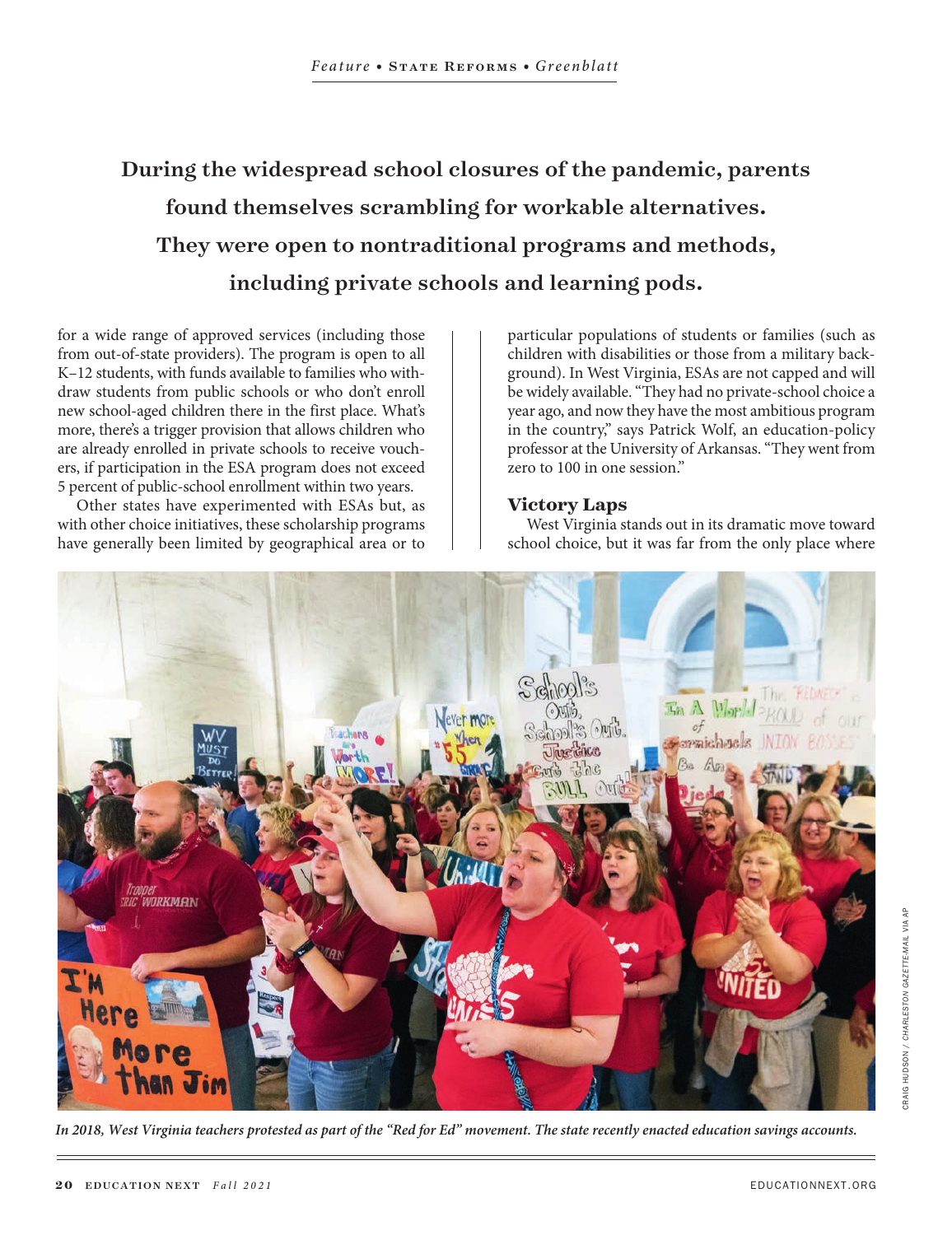## During the widespread school closures of the pandemic, parents found themselves scrambling for workable alternatives. They were open to nontraditional programs and methods, including private schools and learning pods.

for a wide range of approved services (including those from out-of-state providers). The program is open to all K–12 students, with funds available to families who withdraw students from public schools or who don't enroll new school-aged children there in the first place. What's more, there's a trigger provision that allows children who are already enrolled in private schools to receive vouchers, if participation in the ESA program does not exceed 5 percent of public-school enrollment within two years.

Other states have experimented with ESAs but, as with other choice initiatives, these scholarship programs have generally been limited by geographical area or to particular populations of students or families (such as children with disabilities or those from a military background). In West Virginia, ESAs are not capped and will be widely available. "They had no private-school choice a year ago, and now they have the most ambitious program in the country," says Patrick Wolf, an education-policy professor at the University of Arkansas. "They went from zero to 100 in one session."

#### **Victory Laps**

West Virginia stands out in its dramatic move toward school choice, but it was far from the only place where



*In 2018, West Virginia teachers protested as part of the "Red for Ed" movement. The state recently enacted education savings accounts.*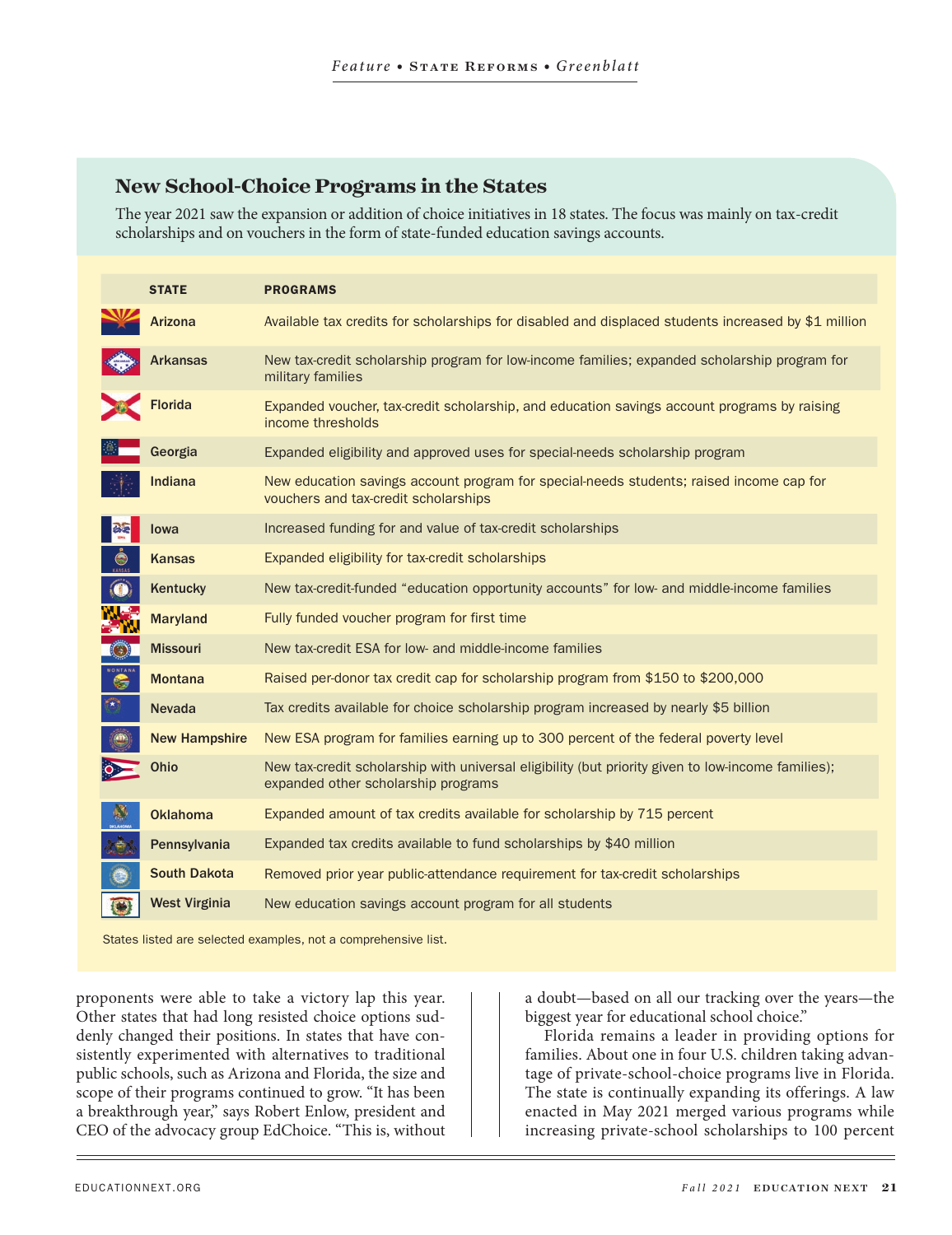### **New School-Choice Programs in the States**

The year 2021 saw the expansion or addition of choice initiatives in 18 states. The focus was mainly on tax-credit scholarships and on vouchers in the form of state-funded education savings accounts.

|   | <b>STATE</b>         | <b>PROGRAMS</b>                                                                                                                           |
|---|----------------------|-------------------------------------------------------------------------------------------------------------------------------------------|
|   | <b>Arizona</b>       | Available tax credits for scholarships for disabled and displaced students increased by \$1 million                                       |
|   | <b>Arkansas</b>      | New tax-credit scholarship program for low-income families; expanded scholarship program for<br>military families                         |
|   | <b>Florida</b>       | Expanded voucher, tax-credit scholarship, and education savings account programs by raising<br>income thresholds                          |
|   | Georgia              | Expanded eligibility and approved uses for special-needs scholarship program                                                              |
|   | <b>Indiana</b>       | New education savings account program for special-needs students; raised income cap for<br>vouchers and tax-credit scholarships           |
|   | lowa                 | Increased funding for and value of tax-credit scholarships                                                                                |
|   | <b>Kansas</b>        | Expanded eligibility for tax-credit scholarships                                                                                          |
|   | Kentucky             | New tax-credit-funded "education opportunity accounts" for low- and middle-income families                                                |
|   | <b>Maryland</b>      | Fully funded voucher program for first time                                                                                               |
|   | <b>Missouri</b>      | New tax-credit ESA for low- and middle-income families                                                                                    |
| G | <b>Montana</b>       | Raised per-donor tax credit cap for scholarship program from \$150 to \$200,000                                                           |
|   | <b>Nevada</b>        | Tax credits available for choice scholarship program increased by nearly \$5 billion                                                      |
|   | <b>New Hampshire</b> | New ESA program for families earning up to 300 percent of the federal poverty level                                                       |
|   | <b>Ohio</b>          | New tax-credit scholarship with universal eligibility (but priority given to low-income families);<br>expanded other scholarship programs |
|   | <b>Oklahoma</b>      | Expanded amount of tax credits available for scholarship by 715 percent                                                                   |
|   | Pennsylvania         | Expanded tax credits available to fund scholarships by \$40 million                                                                       |
|   | <b>South Dakota</b>  | Removed prior year public-attendance requirement for tax-credit scholarships                                                              |
|   | <b>West Virginia</b> | New education savings account program for all students                                                                                    |

States listed are selected examples, not a comprehensive list.

proponents were able to take a victory lap this year. Other states that had long resisted choice options suddenly changed their positions. In states that have consistently experimented with alternatives to traditional public schools, such as Arizona and Florida, the size and scope of their programs continued to grow. "It has been a breakthrough year," says Robert Enlow, president and CEO of the advocacy group EdChoice. "This is, without

a doubt—based on all our tracking over the years—the biggest year for educational school choice."

Florida remains a leader in providing options for families. About one in four U.S. children taking advantage of private-school-choice programs live in Florida. The state is continually expanding its offerings. A law enacted in May 2021 merged various programs while increasing private-school scholarships to 100 percent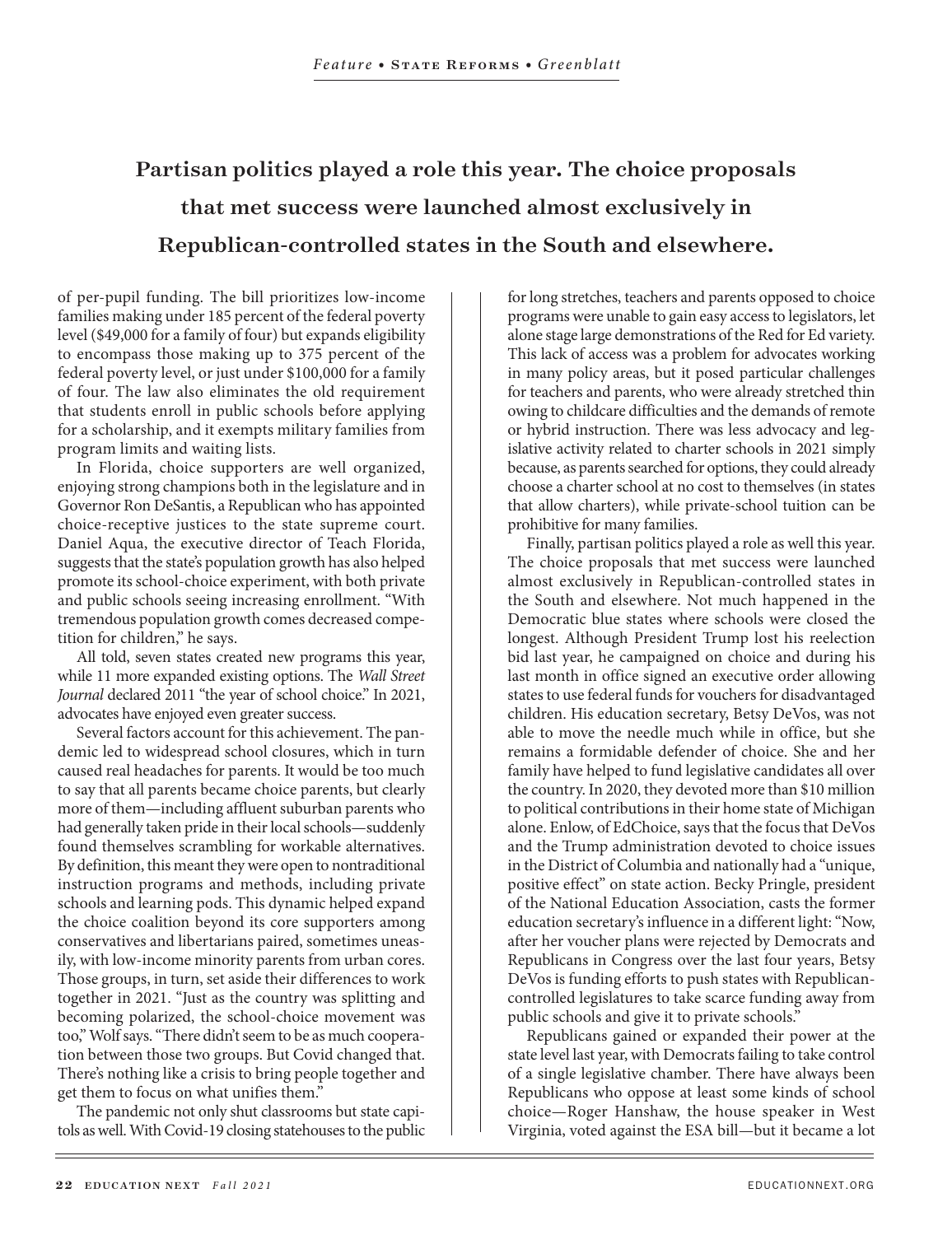## Partisan politics played a role this year. The choice proposals that met success were launched almost exclusively in Republican-controlled states in the South and elsewhere.

of per-pupil funding. The bill prioritizes low-income families making under 185 percent of the federal poverty level (\$49,000 for a family of four) but expands eligibility to encompass those making up to 375 percent of the federal poverty level, or just under \$100,000 for a family of four. The law also eliminates the old requirement that students enroll in public schools before applying for a scholarship, and it exempts military families from program limits and waiting lists.

In Florida, choice supporters are well organized, enjoying strong champions both in the legislature and in Governor Ron DeSantis, a Republican who has appointed choice-receptive justices to the state supreme court. Daniel Aqua, the executive director of Teach Florida, suggests that the state's population growth has also helped promote its school-choice experiment, with both private and public schools seeing increasing enrollment. "With tremendous population growth comes decreased competition for children," he says.

All told, seven states created new programs this year, while 11 more expanded existing options. The *Wall Street Journal* declared 2011 "the year of school choice." In 2021, advocates have enjoyed even greater success.

Several factors account for this achievement. The pandemic led to widespread school closures, which in turn caused real headaches for parents. It would be too much to say that all parents became choice parents, but clearly more of them—including affluent suburban parents who had generally taken pride in their local schools—suddenly found themselves scrambling for workable alternatives. By definition, this meant they were open to nontraditional instruction programs and methods, including private schools and learning pods. This dynamic helped expand the choice coalition beyond its core supporters among conservatives and libertarians paired, sometimes uneasily, with low-income minority parents from urban cores. Those groups, in turn, set aside their differences to work together in 2021. "Just as the country was splitting and becoming polarized, the school-choice movement was too," Wolf says. "There didn't seem to be as much cooperation between those two groups. But Covid changed that. There's nothing like a crisis to bring people together and get them to focus on what unifies them."

The pandemic not only shut classrooms but state capitols as well. With Covid-19 closing statehouses to the public for long stretches, teachers and parents opposed to choice programs were unable to gain easy access to legislators, let alone stage large demonstrations of the Red for Ed variety. This lack of access was a problem for advocates working in many policy areas, but it posed particular challenges for teachers and parents, who were already stretched thin owing to childcare difficulties and the demands of remote or hybrid instruction. There was less advocacy and legislative activity related to charter schools in 2021 simply because, as parents searched for options, they could already choose a charter school at no cost to themselves (in states that allow charters), while private-school tuition can be prohibitive for many families.

Finally, partisan politics played a role as well this year. The choice proposals that met success were launched almost exclusively in Republican-controlled states in the South and elsewhere. Not much happened in the Democratic blue states where schools were closed the longest. Although President Trump lost his reelection bid last year, he campaigned on choice and during his last month in office signed an executive order allowing states to use federal funds for vouchers for disadvantaged children. His education secretary, Betsy DeVos, was not able to move the needle much while in office, but she remains a formidable defender of choice. She and her family have helped to fund legislative candidates all over the country. In 2020, they devoted more than \$10 million to political contributions in their home state of Michigan alone. Enlow, of EdChoice, says that the focus that DeVos and the Trump administration devoted to choice issues in the District of Columbia and nationally had a "unique, positive effect" on state action. Becky Pringle, president of the National Education Association, casts the former education secretary's influence in a different light: "Now, after her voucher plans were rejected by Democrats and Republicans in Congress over the last four years, Betsy DeVos is funding efforts to push states with Republicancontrolled legislatures to take scarce funding away from public schools and give it to private schools."

Republicans gained or expanded their power at the state level last year, with Democrats failing to take control of a single legislative chamber. There have always been Republicans who oppose at least some kinds of school choice—Roger Hanshaw, the house speaker in West Virginia, voted against the ESA bill—but it became a lot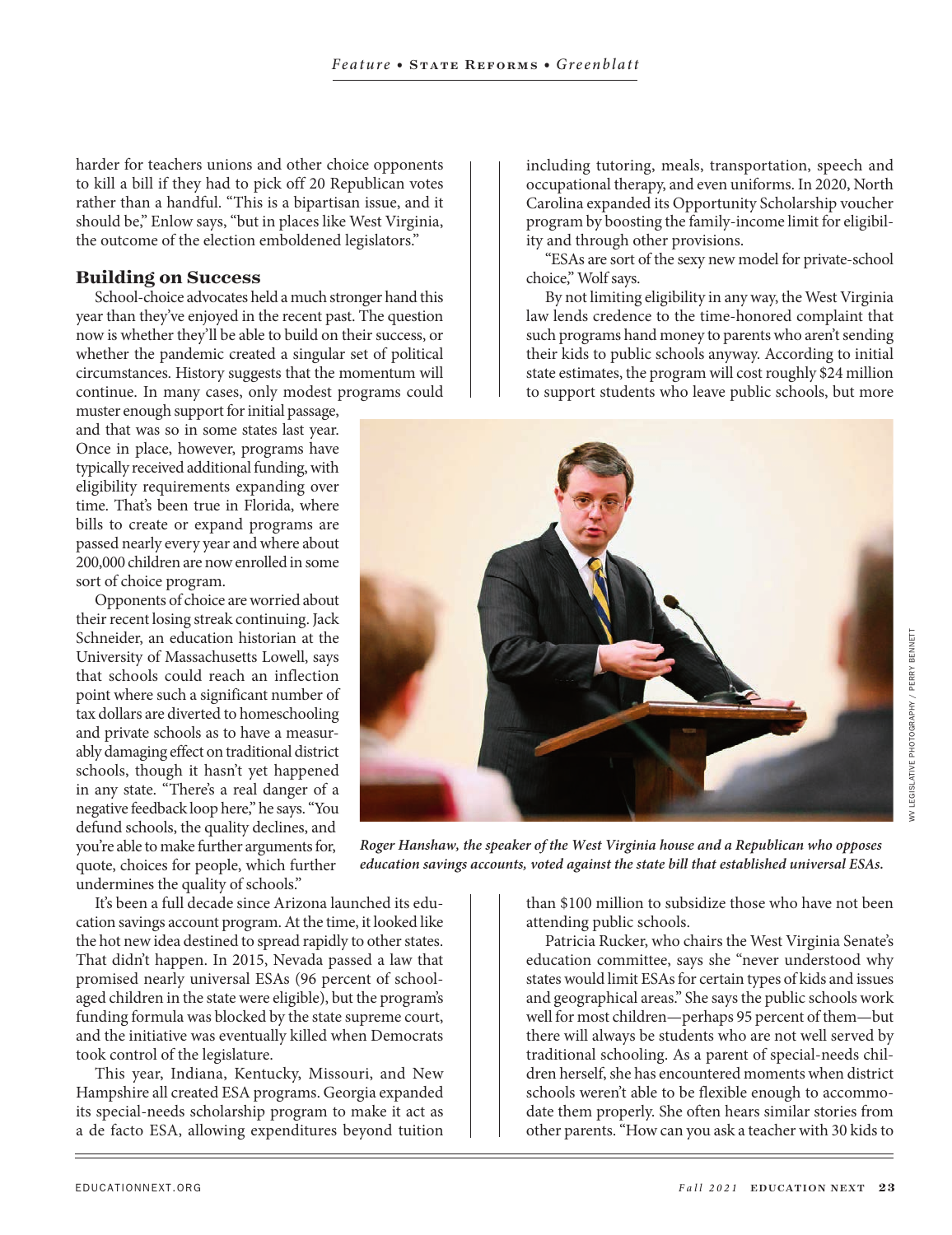harder for teachers unions and other choice opponents to kill a bill if they had to pick off 20 Republican votes rather than a handful. "This is a bipartisan issue, and it should be," Enlow says, "but in places like West Virginia, the outcome of the election emboldened legislators."

#### **Building on Success**

School-choice advocates held a much stronger hand this year than they've enjoyed in the recent past. The question now is whether they'll be able to build on their success, or whether the pandemic created a singular set of political circumstances. History suggests that the momentum will continue. In many cases, only modest programs could

muster enough support for initial passage, and that was so in some states last year. Once in place, however, programs have typically received additional funding, with eligibility requirements expanding over time. That's been true in Florida, where bills to create or expand programs are passed nearly every year and where about 200,000 children are now enrolled in some sort of choice program.

Opponents of choice are worried about their recent losing streak continuing. Jack Schneider, an education historian at the University of Massachusetts Lowell, says that schools could reach an inflection point where such a significant number of tax dollars are diverted to homeschooling and private schools as to have a measurably damaging effect on traditional district schools, though it hasn't yet happened in any state. "There's a real danger of a negative feedback loop here," he says. "You defund schools, the quality declines, and you're able to make further arguments for, quote, choices for people, which further undermines the quality of schools."

It's been a full decade since Arizona launched its education savings account program. At the time, it looked like the hot new idea destined to spread rapidly to other states. That didn't happen. In 2015, Nevada passed a law that promised nearly universal ESAs (96 percent of schoolaged children in the state were eligible), but the program's funding formula was blocked by the state supreme court, and the initiative was eventually killed when Democrats took control of the legislature.

This year, Indiana, Kentucky, Missouri, and New Hampshire all created ESA programs. Georgia expanded its special-needs scholarship program to make it act as a de facto ESA, allowing expenditures beyond tuition

including tutoring, meals, transportation, speech and occupational therapy, and even uniforms. In 2020, North Carolina expanded its Opportunity Scholarship voucher program by boosting the family-income limit for eligibility and through other provisions.

"ESAs are sort of the sexy new model for private-school choice," Wolf says.

By not limiting eligibility in any way, the West Virginia law lends credence to the time-honored complaint that such programs hand money to parents who aren't sending their kids to public schools anyway. According to initial state estimates, the program will cost roughly \$24 million to support students who leave public schools, but more



*Roger Hanshaw, the speaker of the West Virginia house and a Republican who opposes education savings accounts, voted against the state bill that established universal ESAs.* 

than \$100 million to subsidize those who have not been attending public schools.

Patricia Rucker, who chairs the West Virginia Senate's education committee, says she "never understood why states would limit ESAs for certain types of kids and issues and geographical areas." She says the public schools work well for most children—perhaps 95 percent of them—but there will always be students who are not well served by traditional schooling. As a parent of special-needs children herself, she has encountered moments when district schools weren't able to be flexible enough to accommodate them properly. She often hears similar stories from other parents. "How can you ask a teacher with 30 kids to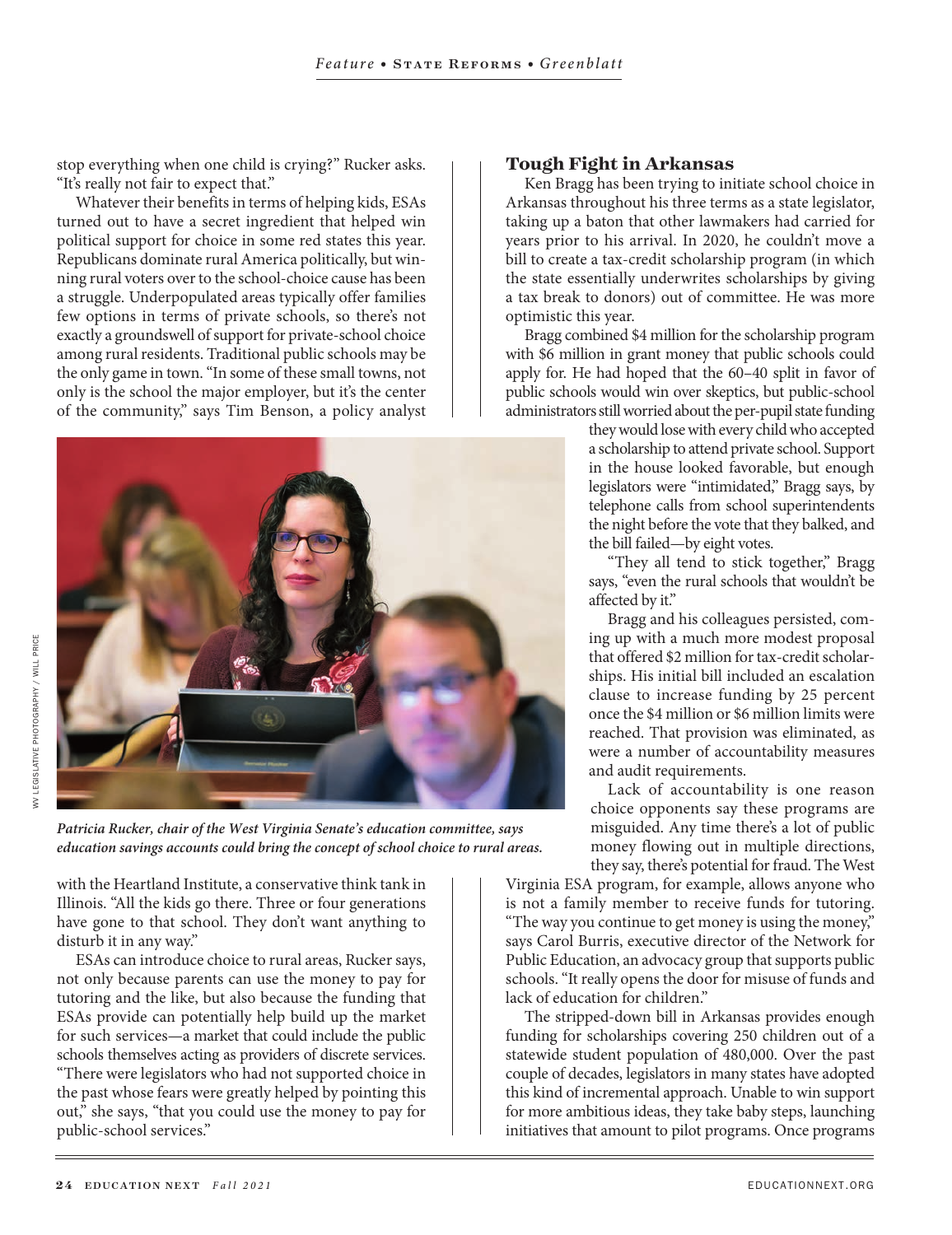stop everything when one child is crying?" Rucker asks. "It's really not fair to expect that."

Whatever their benefits in terms of helping kids, ESAs turned out to have a secret ingredient that helped win political support for choice in some red states this year. Republicans dominate rural America politically, but winning rural voters over to the school-choice cause has been a struggle. Underpopulated areas typically offer families few options in terms of private schools, so there's not exactly a groundswell of support for private-school choice among rural residents. Traditional public schools may be the only game in town. "In some of these small towns, not only is the school the major employer, but it's the center of the community," says Tim Benson, a policy analyst

### **Tough Fight in Arkansas**

Ken Bragg has been trying to initiate school choice in Arkansas throughout his three terms as a state legislator, taking up a baton that other lawmakers had carried for years prior to his arrival. In 2020, he couldn't move a bill to create a tax-credit scholarship program (in which the state essentially underwrites scholarships by giving a tax break to donors) out of committee. He was more optimistic this year.

Bragg combined \$4 million for the scholarship program with \$6 million in grant money that public schools could apply for. He had hoped that the 60–40 split in favor of public schools would win over skeptics, but public-school administrators still worried about the per-pupil state funding

they would lose with every child who accepted a scholarship to attend private school. Support in the house looked favorable, but enough legislators were "intimidated," Bragg says, by telephone calls from school superintendents the night before the vote that they balked, and the bill failed—by eight votes.

"They all tend to stick together," Bragg says, "even the rural schools that wouldn't be affected by it."

Bragg and his colleagues persisted, coming up with a much more modest proposal that offered \$2 million for tax-credit scholarships. His initial bill included an escalation clause to increase funding by 25 percent once the \$4 million or \$6 million limits were reached. That provision was eliminated, as were a number of accountability measures and audit requirements.

Lack of accountability is one reason choice opponents say these programs are misguided. Any time there's a lot of public money flowing out in multiple directions, they say, there's potential for fraud. The West

Virginia ESA program, for example, allows anyone who is not a family member to receive funds for tutoring. "The way you continue to get money is using the money," says Carol Burris, executive director of the Network for Public Education, an advocacy group that supports public schools. "It really opens the door for misuse of funds and lack of education for children."

The stripped-down bill in Arkansas provides enough funding for scholarships covering 250 children out of a statewide student population of 480,000. Over the past couple of decades, legislators in many states have adopted this kind of incremental approach. Unable to win support for more ambitious ideas, they take baby steps, launching initiatives that amount to pilot programs. Once programs

*Patricia Rucker, chair of the West Virginia Senate's education committee, says education savings accounts could bring the concept of school choice to rural areas.*

with the Heartland Institute, a conservative think tank in Illinois. "All the kids go there. Three or four generations have gone to that school. They don't want anything to disturb it in any way."

ESAs can introduce choice to rural areas, Rucker says, not only because parents can use the money to pay for tutoring and the like, but also because the funding that ESAs provide can potentially help build up the market for such services—a market that could include the public schools themselves acting as providers of discrete services. "There were legislators who had not supported choice in the past whose fears were greatly helped by pointing this out," she says, "that you could use the money to pay for public-school services."